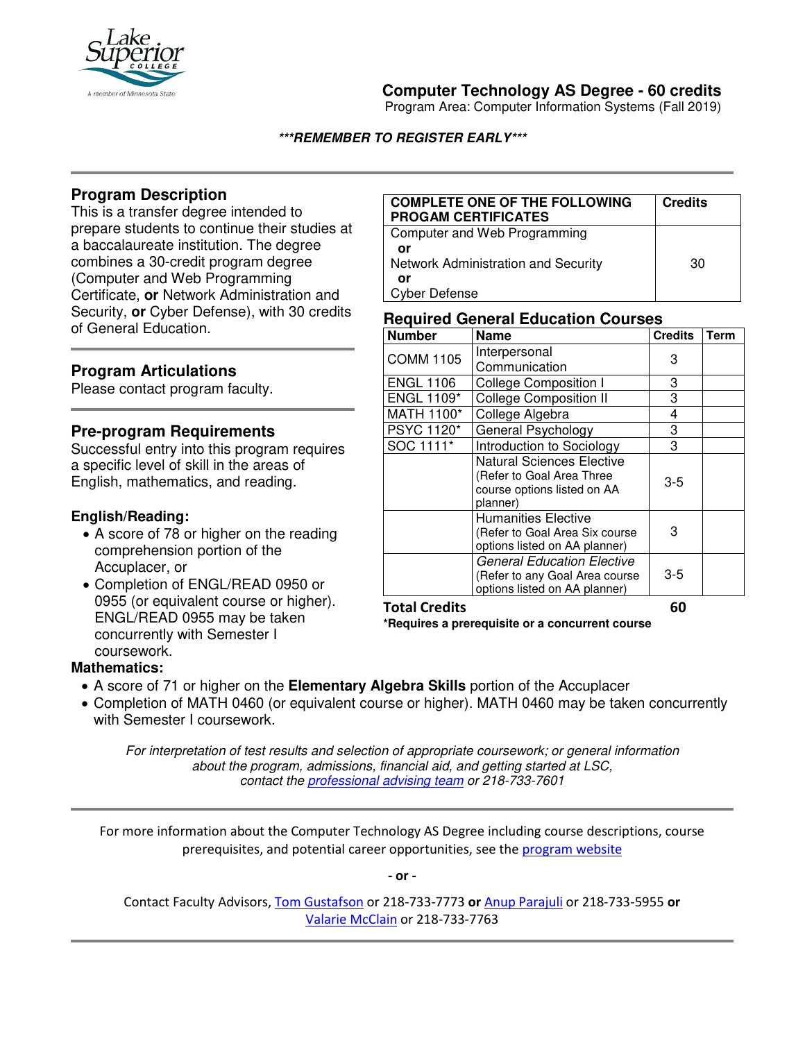

# **Computer Technology AS Degree - 60 credits**

Program Area: Computer Information Systems (Fall 2019)

#### **\*\*\*REMEMBER TO REGISTER EARLY\*\*\***

## **Program Description**

This is a transfer degree intended to prepare students to continue their studies at a baccalaureate institution. The degree combines a 30-credit program degree (Computer and Web Programming Certificate, **or** Network Administration and Security, **or** Cyber Defense), with 30 credits of General Education.

### **Program Articulations**

Please contact program faculty.

### **Pre-program Requirements**

Successful entry into this program requires a specific level of skill in the areas of English, mathematics, and reading.

#### **English/Reading:**

- A score of 78 or higher on the reading comprehension portion of the Accuplacer, or
- Completion of ENGL/READ 0950 or 0955 (or equivalent course or higher). ENGL/READ 0955 may be taken concurrently with Semester I coursework.

#### **COMPLETE ONE OF THE FOLLOWING PROGAM CERTIFICATES Credits** Computer and Web Programming  **or** Network Administration and Security **or** Cyber Defense 30

#### **Required General Education Courses**

| <b>Number</b>        | <b>Name</b>                       | <b>Credits</b> | <b>Term</b> |
|----------------------|-----------------------------------|----------------|-------------|
| <b>COMM 1105</b>     | Interpersonal                     | 3              |             |
|                      | Communication                     |                |             |
| <b>ENGL 1106</b>     | <b>College Composition I</b>      | 3              |             |
| <b>ENGL 1109*</b>    | <b>College Composition II</b>     | 3              |             |
| MATH 1100*           | College Algebra                   | 4              |             |
| PSYC 1120*           | General Psychology                | 3              |             |
| SOC 1111*            | Introduction to Sociology         | 3              |             |
|                      | <b>Natural Sciences Elective</b>  | $3-5$<br>3     |             |
|                      | (Refer to Goal Area Three         |                |             |
|                      | course options listed on AA       |                |             |
|                      | planner)                          |                |             |
|                      | <b>Humanities Elective</b>        |                |             |
|                      | (Refer to Goal Area Six course    |                |             |
|                      | options listed on AA planner)     |                |             |
|                      | <b>General Education Elective</b> | $3-5$          |             |
|                      | (Refer to any Goal Area course    |                |             |
|                      | options listed on AA planner)     |                |             |
| <b>Total Credits</b> |                                   | 60             |             |

**\*Requires a prerequisite or a concurrent course**

### **Mathematics:**

- A score of 71 or higher on the **Elementary Algebra Skills** portion of the Accuplacer
- Completion of MATH 0460 (or equivalent course or higher). MATH 0460 may be taken concurrently with Semester I coursework.

*For interpretation of test results and selection of appropriate coursework; or general information about the program, admissions, financial aid, and getting started at LSC, contact the [professional advising team](mailto:pat@lsc.edu) or 218-733-7601*

For more information about the Computer Technology AS Degree including course descriptions, course prerequisites, and potential career opportunities, see the [program website](https://degrees.lsc.edu/it-degree/)

**- or -** 

Contact Faculty Advisors, [Tom Gustafson](mailto:thomas.gustafson@lsc.edu) or 218-733-7773 **or** [Anup Parajuli](mailto:anup.parajuli@lsc.edu) or 218-733-5955 **or** [Valarie McClain](mailto:valarie.mclain@lsc.edu) or 218-733-7763